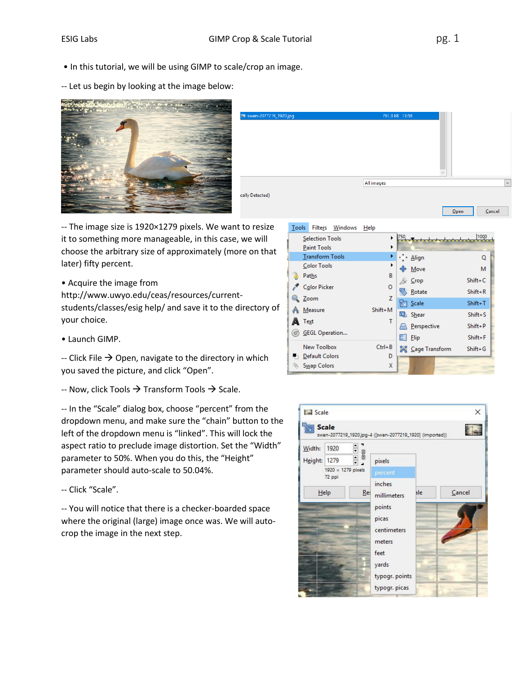- In this tutorial, we will be using GIMP to scale/crop an image.
- -- Let us begin by looking at the image below:





-- The image size is 1920×1279 pixels. We want to resize it to something more manageable, in this case, we will choose the arbitrary size of approximately (more on that later) fifty percent.

- Acquire the image from http://www.uwyo.edu/ceas/resources/currentstudents/classes/esig help/ and save it to the directory of your choice.
- Launch GIMP.

-- Click File  $\rightarrow$  Open, navigate to the directory in which you saved the picture, and click "Open".

-- Now, click Tools  $\rightarrow$  Transform Tools  $\rightarrow$  Scale.

-- In the "Scale" dialog box, choose "percent" from the dropdown menu, and make sure the "chain" button to the left of the dropdown menu is "linked". This will lock the aspect ratio to preclude image distortion. Set the "Width" parameter to 50%. When you do this, the "Height" parameter should auto-scale to 50.04%.

-- Click "Scale".

-- You will notice that there is a checker-boarded space where the original (large) image once was. We will autocrop the image in the next step.